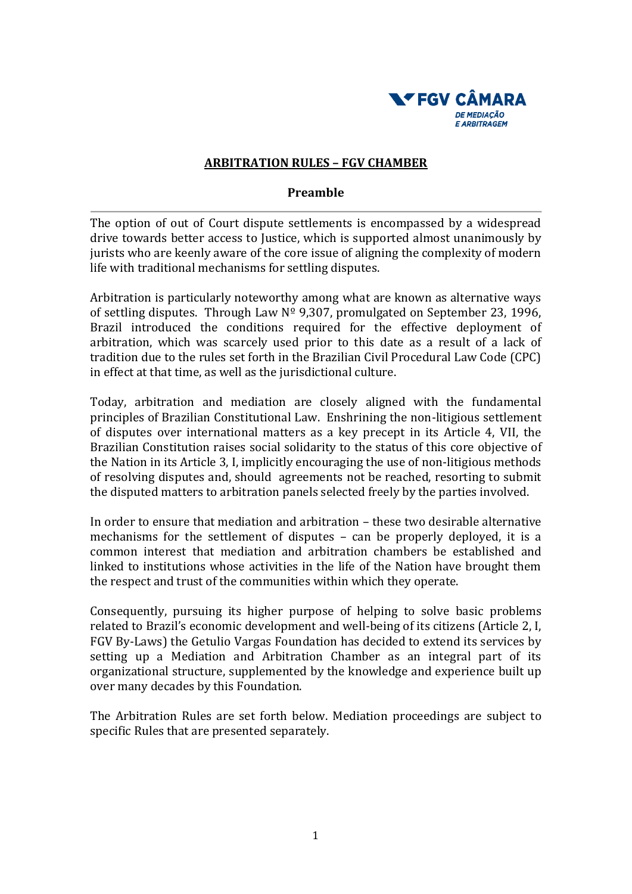

### **ARBITRATION RULES – FGV CHAMBER**

#### **Preamble**

The option of out of Court dispute settlements is encompassed by a widespread drive towards better access to Justice, which is supported almost unanimously by jurists who are keenly aware of the core issue of aligning the complexity of modern life with traditional mechanisms for settling disputes.

Arbitration is particularly noteworthy among what are known as alternative ways of settling disputes. Through Law  $N^{\circ}$  9,307, promulgated on September 23, 1996, Brazil introduced the conditions required for the effective deployment of arbitration, which was scarcely used prior to this date as a result of a lack of tradition due to the rules set forth in the Brazilian Civil Procedural Law Code (CPC) in effect at that time, as well as the jurisdictional culture.

Today, arbitration and mediation are closely aligned with the fundamental principles of Brazilian Constitutional Law. Enshrining the non-litigious settlement of disputes over international matters as a key precept in its Article 4, VII, the Brazilian Constitution raises social solidarity to the status of this core objective of the Nation in its Article 3, I, implicitly encouraging the use of non-litigious methods of resolving disputes and, should agreements not be reached, resorting to submit the disputed matters to arbitration panels selected freely by the parties involved.

In order to ensure that mediation and arbitration – these two desirable alternative mechanisms for the settlement of disputes – can be properly deployed, it is a common interest that mediation and arbitration chambers be established and linked to institutions whose activities in the life of the Nation have brought them the respect and trust of the communities within which they operate.

Consequently, pursuing its higher purpose of helping to solve basic problems related to Brazil's economic development and well-being of its citizens (Article 2, I, FGV By-Laws) the Getulio Vargas Foundation has decided to extend its services by setting up a Mediation and Arbitration Chamber as an integral part of its organizational structure, supplemented by the knowledge and experience built up over many decades by this Foundation.

The Arbitration Rules are set forth below. Mediation proceedings are subject to specific Rules that are presented separately.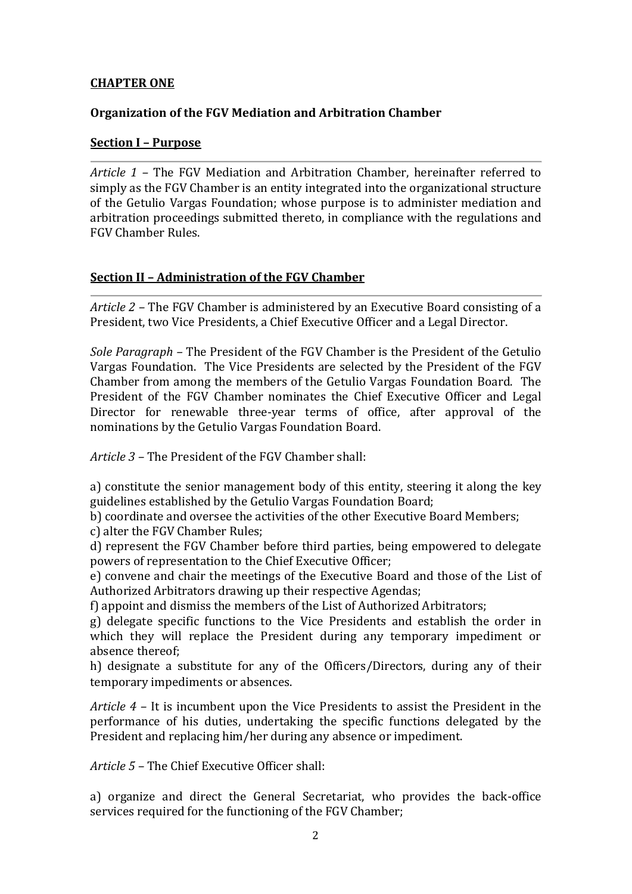### **CHAPTER ONE**

### **Organization of the FGV Mediation and Arbitration Chamber**

### **Section I – Purpose**

*Article 1 –* The FGV Mediation and Arbitration Chamber, hereinafter referred to simply as the FGV Chamber is an entity integrated into the organizational structure of the Getulio Vargas Foundation; whose purpose is to administer mediation and arbitration proceedings submitted thereto, in compliance with the regulations and FGV Chamber Rules.

## **Section II – Administration of the FGV Chamber**

*Article 2 –* The FGV Chamber is administered by an Executive Board consisting of a President, two Vice Presidents, a Chief Executive Officer and a Legal Director.

*Sole Paragraph –* The President of the FGV Chamber is the President of the Getulio Vargas Foundation. The Vice Presidents are selected by the President of the FGV Chamber from among the members of the Getulio Vargas Foundation Board. The President of the FGV Chamber nominates the Chief Executive Officer and Legal Director for renewable three-year terms of office, after approval of the nominations by the Getulio Vargas Foundation Board.

*Article 3 –* The President of the FGV Chamber shall:

a) constitute the senior management body of this entity, steering it along the key guidelines established by the Getulio Vargas Foundation Board;

b) coordinate and oversee the activities of the other Executive Board Members;

c) alter the FGV Chamber Rules;

d) represent the FGV Chamber before third parties, being empowered to delegate powers of representation to the Chief Executive Officer;

e) convene and chair the meetings of the Executive Board and those of the List of Authorized Arbitrators drawing up their respective Agendas;

f) appoint and dismiss the members of the List of Authorized Arbitrators;

g) delegate specific functions to the Vice Presidents and establish the order in which they will replace the President during any temporary impediment or absence thereof;

h) designate a substitute for any of the Officers/Directors, during any of their temporary impediments or absences.

*Article 4 –* It is incumbent upon the Vice Presidents to assist the President in the performance of his duties, undertaking the specific functions delegated by the President and replacing him/her during any absence or impediment.

*Article 5 –* The Chief Executive Officer shall:

a) organize and direct the General Secretariat, who provides the back-office services required for the functioning of the FGV Chamber;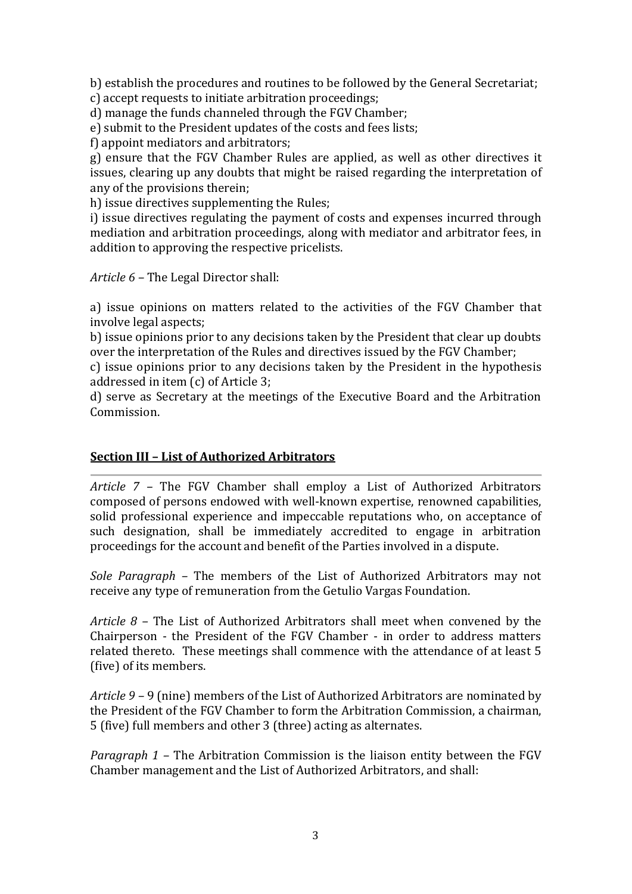b) establish the procedures and routines to be followed by the General Secretariat; c) accept requests to initiate arbitration proceedings;

d) manage the funds channeled through the FGV Chamber;

e) submit to the President updates of the costs and fees lists;

f) appoint mediators and arbitrators;

g) ensure that the FGV Chamber Rules are applied, as well as other directives it issues, clearing up any doubts that might be raised regarding the interpretation of any of the provisions therein;

h) issue directives supplementing the Rules;

i) issue directives regulating the payment of costs and expenses incurred through mediation and arbitration proceedings, along with mediator and arbitrator fees, in addition to approving the respective pricelists.

*Article 6 –* The Legal Director shall:

a) issue opinions on matters related to the activities of the FGV Chamber that involve legal aspects;

b) issue opinions prior to any decisions taken by the President that clear up doubts over the interpretation of the Rules and directives issued by the FGV Chamber;

c) issue opinions prior to any decisions taken by the President in the hypothesis addressed in item (c) of Article 3;

d) serve as Secretary at the meetings of the Executive Board and the Arbitration Commission.

#### **Section III – List of Authorized Arbitrators**

*Article 7 –* The FGV Chamber shall employ a List of Authorized Arbitrators composed of persons endowed with well-known expertise, renowned capabilities, solid professional experience and impeccable reputations who, on acceptance of such designation, shall be immediately accredited to engage in arbitration proceedings for the account and benefit of the Parties involved in a dispute.

*Sole Paragraph –* The members of the List of Authorized Arbitrators may not receive any type of remuneration from the Getulio Vargas Foundation.

*Article 8 –* The List of Authorized Arbitrators shall meet when convened by the Chairperson - the President of the FGV Chamber - in order to address matters related thereto. These meetings shall commence with the attendance of at least 5 (five) of its members.

*Article 9 –* 9 (nine) members of the List of Authorized Arbitrators are nominated by the President of the FGV Chamber to form the Arbitration Commission, a chairman, 5 (five) full members and other 3 (three) acting as alternates.

*Paragraph 1 –* The Arbitration Commission is the liaison entity between the FGV Chamber management and the List of Authorized Arbitrators, and shall: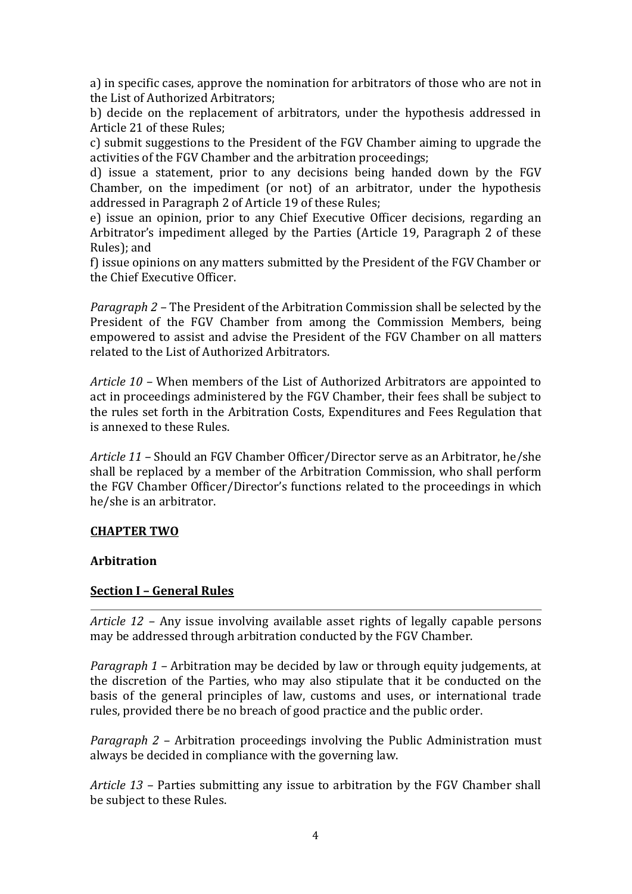a) in specific cases, approve the nomination for arbitrators of those who are not in the List of Authorized Arbitrators;

b) decide on the replacement of arbitrators, under the hypothesis addressed in Article 21 of these Rules;

c) submit suggestions to the President of the FGV Chamber aiming to upgrade the activities of the FGV Chamber and the arbitration proceedings;

d) issue a statement, prior to any decisions being handed down by the FGV Chamber, on the impediment (or not) of an arbitrator, under the hypothesis addressed in Paragraph 2 of Article 19 of these Rules;

e) issue an opinion, prior to any Chief Executive Officer decisions, regarding an Arbitrator's impediment alleged by the Parties (Article 19, Paragraph 2 of these Rules); and

f) issue opinions on any matters submitted by the President of the FGV Chamber or the Chief Executive Officer.

*Paragraph 2 –* The President of the Arbitration Commission shall be selected by the President of the FGV Chamber from among the Commission Members, being empowered to assist and advise the President of the FGV Chamber on all matters related to the List of Authorized Arbitrators.

*Article 10 –* When members of the List of Authorized Arbitrators are appointed to act in proceedings administered by the FGV Chamber, their fees shall be subject to the rules set forth in the Arbitration Costs, Expenditures and Fees Regulation that is annexed to these Rules.

*Article 11 –* Should an FGV Chamber Officer/Director serve as an Arbitrator, he/she shall be replaced by a member of the Arbitration Commission, who shall perform the FGV Chamber Officer/Director's functions related to the proceedings in which he/she is an arbitrator.

#### **CHAPTER TWO**

#### **Arbitration**

## **Section I – General Rules**

*Article 12 –* Any issue involving available asset rights of legally capable persons may be addressed through arbitration conducted by the FGV Chamber.

*Paragraph 1 –* Arbitration may be decided by law or through equity judgements, at the discretion of the Parties, who may also stipulate that it be conducted on the basis of the general principles of law, customs and uses, or international trade rules, provided there be no breach of good practice and the public order.

*Paragraph 2 –* Arbitration proceedings involving the Public Administration must always be decided in compliance with the governing law.

*Article 13 –* Parties submitting any issue to arbitration by the FGV Chamber shall be subject to these Rules.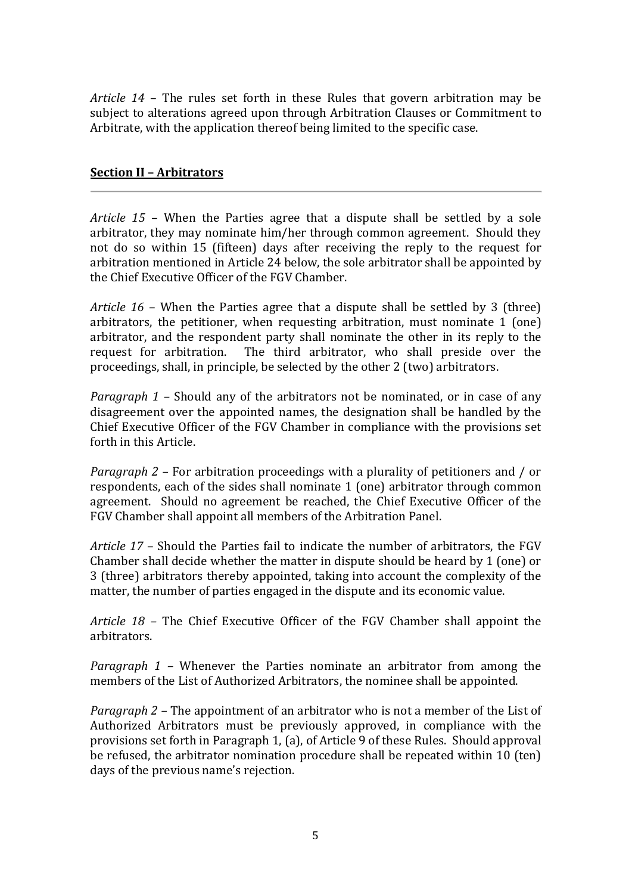*Article 14* – The rules set forth in these Rules that govern arbitration may be subject to alterations agreed upon through Arbitration Clauses or Commitment to Arbitrate, with the application thereof being limited to the specific case.

### **Section II – Arbitrators**

*Article 15* – When the Parties agree that a dispute shall be settled by a sole arbitrator, they may nominate him/her through common agreement. Should they not do so within 15 (fifteen) days after receiving the reply to the request for arbitration mentioned in Article 24 below, the sole arbitrator shall be appointed by the Chief Executive Officer of the FGV Chamber.

*Article 16* – When the Parties agree that a dispute shall be settled by 3 (three) arbitrators, the petitioner, when requesting arbitration, must nominate 1 (one) arbitrator, and the respondent party shall nominate the other in its reply to the request for arbitration. The third arbitrator, who shall preside over the proceedings, shall, in principle, be selected by the other 2 (two) arbitrators.

*Paragraph 1 –* Should any of the arbitrators not be nominated, or in case of any disagreement over the appointed names, the designation shall be handled by the Chief Executive Officer of the FGV Chamber in compliance with the provisions set forth in this Article.

*Paragraph 2 –* For arbitration proceedings with a plurality of petitioners and / or respondents, each of the sides shall nominate 1 (one) arbitrator through common agreement. Should no agreement be reached, the Chief Executive Officer of the FGV Chamber shall appoint all members of the Arbitration Panel.

*Article 17* – Should the Parties fail to indicate the number of arbitrators, the FGV Chamber shall decide whether the matter in dispute should be heard by 1 (one) or 3 (three) arbitrators thereby appointed, taking into account the complexity of the matter, the number of parties engaged in the dispute and its economic value.

*Article 18 –* The Chief Executive Officer of the FGV Chamber shall appoint the arbitrators.

*Paragraph 1 –* Whenever the Parties nominate an arbitrator from among the members of the List of Authorized Arbitrators, the nominee shall be appointed.

*Paragraph 2 –* The appointment of an arbitrator who is not a member of the List of Authorized Arbitrators must be previously approved, in compliance with the provisions set forth in Paragraph 1, (a), of Article 9 of these Rules. Should approval be refused, the arbitrator nomination procedure shall be repeated within 10 (ten) days of the previous name's rejection.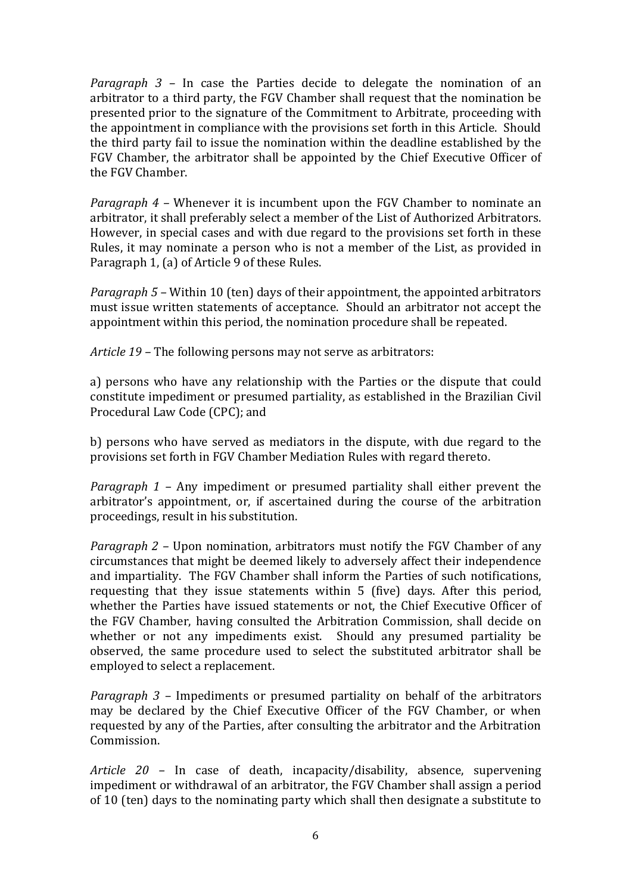*Paragraph 3 –* In case the Parties decide to delegate the nomination of an arbitrator to a third party, the FGV Chamber shall request that the nomination be presented prior to the signature of the Commitment to Arbitrate, proceeding with the appointment in compliance with the provisions set forth in this Article. Should the third party fail to issue the nomination within the deadline established by the FGV Chamber, the arbitrator shall be appointed by the Chief Executive Officer of the FGV Chamber.

*Paragraph 4 –* Whenever it is incumbent upon the FGV Chamber to nominate an arbitrator, it shall preferably select a member of the List of Authorized Arbitrators. However, in special cases and with due regard to the provisions set forth in these Rules, it may nominate a person who is not a member of the List, as provided in Paragraph 1, (a) of Article 9 of these Rules.

*Paragraph 5 –* Within 10 (ten) days of their appointment, the appointed arbitrators must issue written statements of acceptance. Should an arbitrator not accept the appointment within this period, the nomination procedure shall be repeated.

*Article 19 –* The following persons may not serve as arbitrators:

a) persons who have any relationship with the Parties or the dispute that could constitute impediment or presumed partiality, as established in the Brazilian Civil Procedural Law Code (CPC); and

b) persons who have served as mediators in the dispute, with due regard to the provisions set forth in FGV Chamber Mediation Rules with regard thereto.

*Paragraph 1 –* Any impediment or presumed partiality shall either prevent the arbitrator's appointment, or, if ascertained during the course of the arbitration proceedings, result in his substitution.

*Paragraph 2 –* Upon nomination, arbitrators must notify the FGV Chamber of any circumstances that might be deemed likely to adversely affect their independence and impartiality. The FGV Chamber shall inform the Parties of such notifications, requesting that they issue statements within 5 (five) days. After this period, whether the Parties have issued statements or not, the Chief Executive Officer of the FGV Chamber, having consulted the Arbitration Commission, shall decide on whether or not any impediments exist. Should any presumed partiality be observed, the same procedure used to select the substituted arbitrator shall be employed to select a replacement.

*Paragraph 3 –* Impediments or presumed partiality on behalf of the arbitrators may be declared by the Chief Executive Officer of the FGV Chamber, or when requested by any of the Parties, after consulting the arbitrator and the Arbitration Commission.

*Article 20 –* In case of death, incapacity/disability, absence, supervening impediment or withdrawal of an arbitrator, the FGV Chamber shall assign a period of 10 (ten) days to the nominating party which shall then designate a substitute to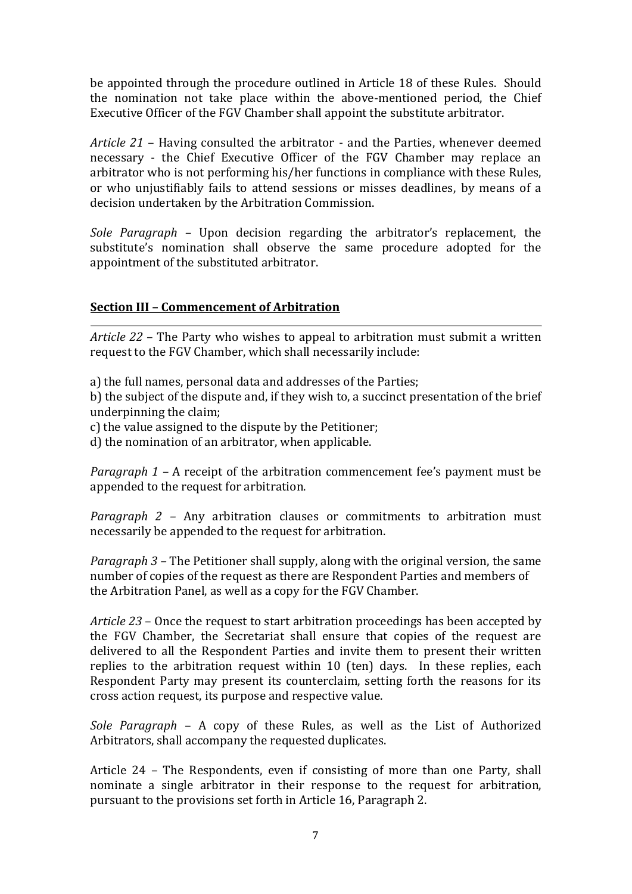be appointed through the procedure outlined in Article 18 of these Rules. Should the nomination not take place within the above-mentioned period, the Chief Executive Officer of the FGV Chamber shall appoint the substitute arbitrator.

*Article 21* – Having consulted the arbitrator - and the Parties, whenever deemed necessary - the Chief Executive Officer of the FGV Chamber may replace an arbitrator who is not performing his/her functions in compliance with these Rules, or who unjustifiably fails to attend sessions or misses deadlines, by means of a decision undertaken by the Arbitration Commission.

*Sole Paragraph –* Upon decision regarding the arbitrator's replacement, the substitute's nomination shall observe the same procedure adopted for the appointment of the substituted arbitrator.

## **Section III – Commencement of Arbitration**

*Article 22* – The Party who wishes to appeal to arbitration must submit a written request to the FGV Chamber, which shall necessarily include:

a) the full names, personal data and addresses of the Parties;

b) the subject of the dispute and, if they wish to, a succinct presentation of the brief underpinning the claim;

c) the value assigned to the dispute by the Petitioner;

d) the nomination of an arbitrator, when applicable.

*Paragraph 1 –* A receipt of the arbitration commencement fee's payment must be appended to the request for arbitration.

*Paragraph 2 –* Any arbitration clauses or commitments to arbitration must necessarily be appended to the request for arbitration.

*Paragraph 3 –* The Petitioner shall supply, along with the original version, the same number of copies of the request as there are Respondent Parties and members of the Arbitration Panel, as well as a copy for the FGV Chamber.

*Article 23* – Once the request to start arbitration proceedings has been accepted by the FGV Chamber, the Secretariat shall ensure that copies of the request are delivered to all the Respondent Parties and invite them to present their written replies to the arbitration request within 10 (ten) days. In these replies, each Respondent Party may present its counterclaim, setting forth the reasons for its cross action request, its purpose and respective value.

*Sole Paragraph* – A copy of these Rules, as well as the List of Authorized Arbitrators, shall accompany the requested duplicates.

Article 24 – The Respondents, even if consisting of more than one Party, shall nominate a single arbitrator in their response to the request for arbitration, pursuant to the provisions set forth in Article 16, Paragraph 2.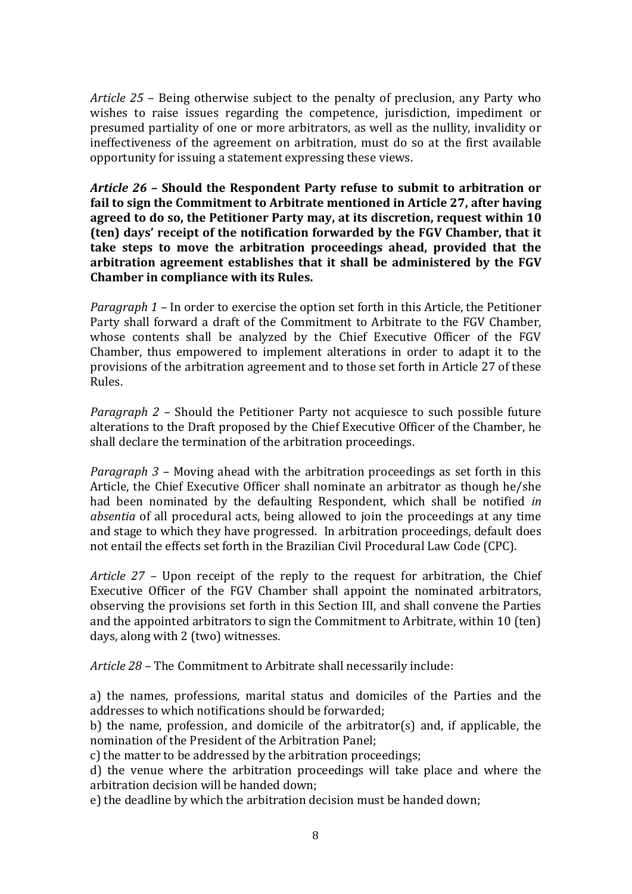*Article 25* – Being otherwise subject to the penalty of preclusion, any Party who wishes to raise issues regarding the competence, jurisdiction, impediment or presumed partiality of one or more arbitrators, as well as the nullity, invalidity or ineffectiveness of the agreement on arbitration, must do so at the first available opportunity for issuing a statement expressing these views.

*Article 26* **– Should the Respondent Party refuse to submit to arbitration or fail to sign the Commitment to Arbitrate mentioned in Article 27, after having agreed to do so, the Petitioner Party may, at its discretion, request within 10 (ten) days' receipt of the notification forwarded by the FGV Chamber, that it take steps to move the arbitration proceedings ahead, provided that the arbitration agreement establishes that it shall be administered by the FGV Chamber in compliance with its Rules.** 

*Paragraph 1 –* In order to exercise the option set forth in this Article, the Petitioner Party shall forward a draft of the Commitment to Arbitrate to the FGV Chamber, whose contents shall be analyzed by the Chief Executive Officer of the FGV Chamber, thus empowered to implement alterations in order to adapt it to the provisions of the arbitration agreement and to those set forth in Article 27 of these Rules.

*Paragraph 2 –* Should the Petitioner Party not acquiesce to such possible future alterations to the Draft proposed by the Chief Executive Officer of the Chamber, he shall declare the termination of the arbitration proceedings.

*Paragraph 3 –* Moving ahead with the arbitration proceedings as set forth in this Article, the Chief Executive Officer shall nominate an arbitrator as though he/she had been nominated by the defaulting Respondent, which shall be notified *in absentia* of all procedural acts, being allowed to join the proceedings at any time and stage to which they have progressed. In arbitration proceedings, default does not entail the effects set forth in the Brazilian Civil Procedural Law Code (CPC).

*Article 27 –* Upon receipt of the reply to the request for arbitration, the Chief Executive Officer of the FGV Chamber shall appoint the nominated arbitrators, observing the provisions set forth in this Section III, and shall convene the Parties and the appointed arbitrators to sign the Commitment to Arbitrate, within 10 (ten) days, along with 2 (two) witnesses.

*Article 28 –* The Commitment to Arbitrate shall necessarily include:

a) the names, professions, marital status and domiciles of the Parties and the addresses to which notifications should be forwarded;

b) the name, profession, and domicile of the arbitrator(s) and, if applicable, the nomination of the President of the Arbitration Panel;

c) the matter to be addressed by the arbitration proceedings;

d) the venue where the arbitration proceedings will take place and where the arbitration decision will be handed down;

e) the deadline by which the arbitration decision must be handed down;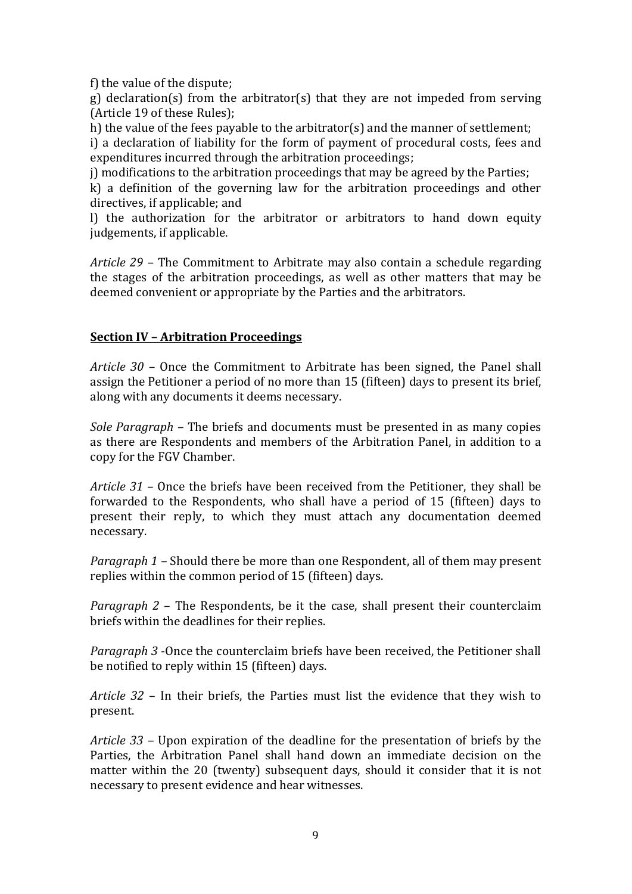f) the value of the dispute;

g) declaration(s) from the arbitrator(s) that they are not impeded from serving (Article 19 of these Rules);

h) the value of the fees payable to the arbitrator(s) and the manner of settlement;

i) a declaration of liability for the form of payment of procedural costs, fees and expenditures incurred through the arbitration proceedings;

j) modifications to the arbitration proceedings that may be agreed by the Parties;

k) a definition of the governing law for the arbitration proceedings and other directives, if applicable; and

l) the authorization for the arbitrator or arbitrators to hand down equity judgements, if applicable.

*Article 29 –* The Commitment to Arbitrate may also contain a schedule regarding the stages of the arbitration proceedings, as well as other matters that may be deemed convenient or appropriate by the Parties and the arbitrators.

#### **Section IV – Arbitration Proceedings**

*Article 30 –* Once the Commitment to Arbitrate has been signed, the Panel shall assign the Petitioner a period of no more than 15 (fifteen) days to present its brief, along with any documents it deems necessary.

*Sole Paragraph* – The briefs and documents must be presented in as many copies as there are Respondents and members of the Arbitration Panel, in addition to a copy for the FGV Chamber.

*Article 31* – Once the briefs have been received from the Petitioner, they shall be forwarded to the Respondents, who shall have a period of 15 (fifteen) days to present their reply, to which they must attach any documentation deemed necessary.

*Paragraph 1 –* Should there be more than one Respondent, all of them may present replies within the common period of 15 (fifteen) days.

*Paragraph 2* – The Respondents, be it the case, shall present their counterclaim briefs within the deadlines for their replies.

*Paragraph 3* -Once the counterclaim briefs have been received, the Petitioner shall be notified to reply within 15 (fifteen) days.

*Article 32* – In their briefs, the Parties must list the evidence that they wish to present.

*Article 33* – Upon expiration of the deadline for the presentation of briefs by the Parties, the Arbitration Panel shall hand down an immediate decision on the matter within the 20 (twenty) subsequent days, should it consider that it is not necessary to present evidence and hear witnesses.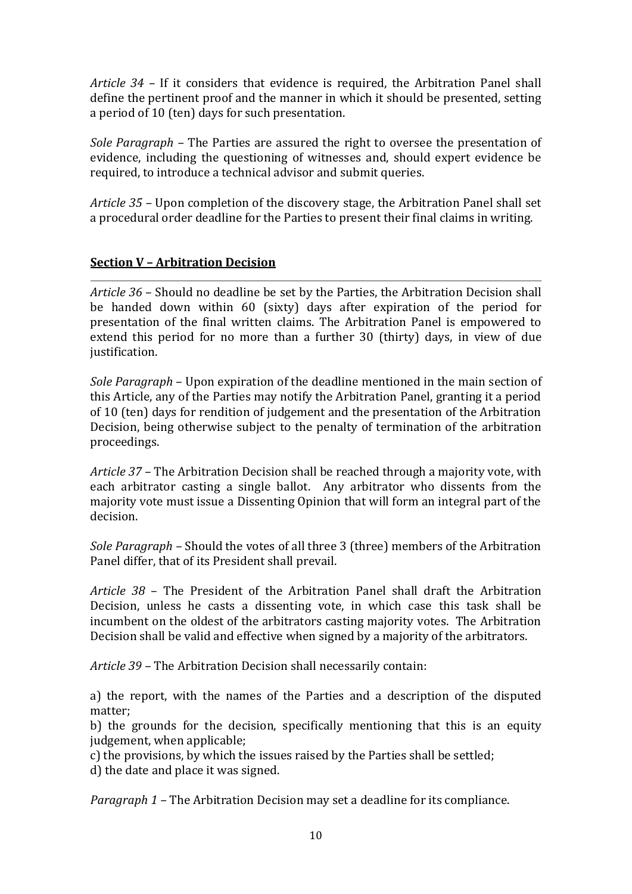*Article 34* – If it considers that evidence is required, the Arbitration Panel shall define the pertinent proof and the manner in which it should be presented, setting a period of 10 (ten) days for such presentation.

*Sole Paragraph –* The Parties are assured the right to oversee the presentation of evidence, including the questioning of witnesses and, should expert evidence be required, to introduce a technical advisor and submit queries.

*Article 35 –* Upon completion of the discovery stage, the Arbitration Panel shall set a procedural order deadline for the Parties to present their final claims in writing.

## **Section V – Arbitration Decision**

*Article 36* – Should no deadline be set by the Parties, the Arbitration Decision shall be handed down within 60 (sixty) days after expiration of the period for presentation of the final written claims. The Arbitration Panel is empowered to extend this period for no more than a further 30 (thirty) days, in view of due justification.

*Sole Paragraph* – Upon expiration of the deadline mentioned in the main section of this Article, any of the Parties may notify the Arbitration Panel, granting it a period of 10 (ten) days for rendition of judgement and the presentation of the Arbitration Decision, being otherwise subject to the penalty of termination of the arbitration proceedings.

*Article 37* – The Arbitration Decision shall be reached through a majority vote, with each arbitrator casting a single ballot. Any arbitrator who dissents from the majority vote must issue a Dissenting Opinion that will form an integral part of the decision.

*Sole Paragraph –* Should the votes of all three 3 (three) members of the Arbitration Panel differ, that of its President shall prevail.

*Article 38* – The President of the Arbitration Panel shall draft the Arbitration Decision, unless he casts a dissenting vote, in which case this task shall be incumbent on the oldest of the arbitrators casting majority votes. The Arbitration Decision shall be valid and effective when signed by a majority of the arbitrators.

*Article 39 –* The Arbitration Decision shall necessarily contain:

a) the report, with the names of the Parties and a description of the disputed matter;

b) the grounds for the decision, specifically mentioning that this is an equity judgement, when applicable;

c) the provisions, by which the issues raised by the Parties shall be settled;

d) the date and place it was signed.

*Paragraph 1 –* The Arbitration Decision may set a deadline for its compliance.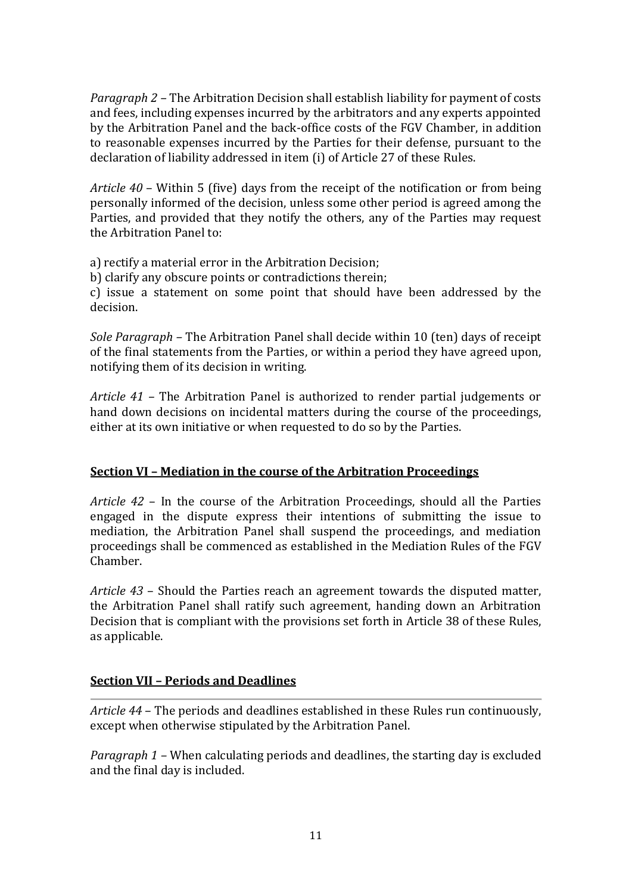*Paragraph 2 –* The Arbitration Decision shall establish liability for payment of costs and fees, including expenses incurred by the arbitrators and any experts appointed by the Arbitration Panel and the back-office costs of the FGV Chamber, in addition to reasonable expenses incurred by the Parties for their defense, pursuant to the declaration of liability addressed in item (i) of Article 27 of these Rules.

*Article 40* – Within 5 (five) days from the receipt of the notification or from being personally informed of the decision, unless some other period is agreed among the Parties, and provided that they notify the others, any of the Parties may request the Arbitration Panel to:

a) rectify a material error in the Arbitration Decision;

b) clarify any obscure points or contradictions therein;

c) issue a statement on some point that should have been addressed by the decision.

*Sole Paragraph –* The Arbitration Panel shall decide within 10 (ten) days of receipt of the final statements from the Parties, or within a period they have agreed upon, notifying them of its decision in writing.

*Article 41 –* The Arbitration Panel is authorized to render partial judgements or hand down decisions on incidental matters during the course of the proceedings, either at its own initiative or when requested to do so by the Parties.

## **Section VI – Mediation in the course of the Arbitration Proceedings**

*Article 42* – In the course of the Arbitration Proceedings, should all the Parties engaged in the dispute express their intentions of submitting the issue to mediation, the Arbitration Panel shall suspend the proceedings, and mediation proceedings shall be commenced as established in the Mediation Rules of the FGV Chamber.

*Article 43* – Should the Parties reach an agreement towards the disputed matter, the Arbitration Panel shall ratify such agreement, handing down an Arbitration Decision that is compliant with the provisions set forth in Article 38 of these Rules, as applicable.

#### **Section VII – Periods and Deadlines**

*Article 44* – The periods and deadlines established in these Rules run continuously, except when otherwise stipulated by the Arbitration Panel.

*Paragraph 1 –* When calculating periods and deadlines, the starting day is excluded and the final day is included.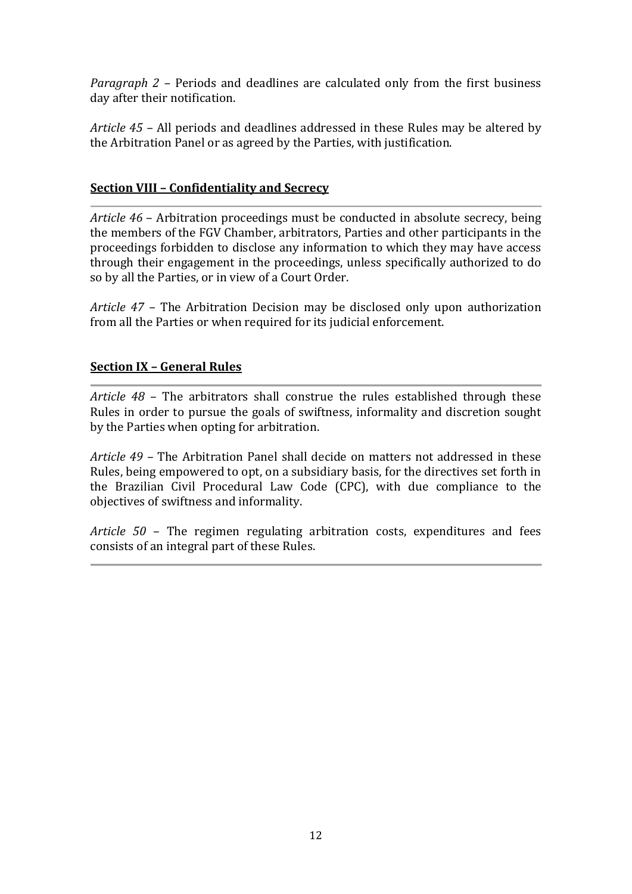*Paragraph 2 –* Periods and deadlines are calculated only from the first business day after their notification.

*Article 45 –* All periods and deadlines addressed in these Rules may be altered by the Arbitration Panel or as agreed by the Parties, with justification.

# **Section VIII – Confidentiality and Secrecy**

*Article 46* – Arbitration proceedings must be conducted in absolute secrecy, being the members of the FGV Chamber, arbitrators, Parties and other participants in the proceedings forbidden to disclose any information to which they may have access through their engagement in the proceedings, unless specifically authorized to do so by all the Parties, or in view of a Court Order.

*Article 47 –* The Arbitration Decision may be disclosed only upon authorization from all the Parties or when required for its judicial enforcement.

# **Section IX – General Rules**

*Article 48* – The arbitrators shall construe the rules established through these Rules in order to pursue the goals of swiftness, informality and discretion sought by the Parties when opting for arbitration.

*Article 49 –* The Arbitration Panel shall decide on matters not addressed in these Rules, being empowered to opt, on a subsidiary basis, for the directives set forth in the Brazilian Civil Procedural Law Code (CPC), with due compliance to the objectives of swiftness and informality.

*Article 50* – The regimen regulating arbitration costs, expenditures and fees consists of an integral part of these Rules.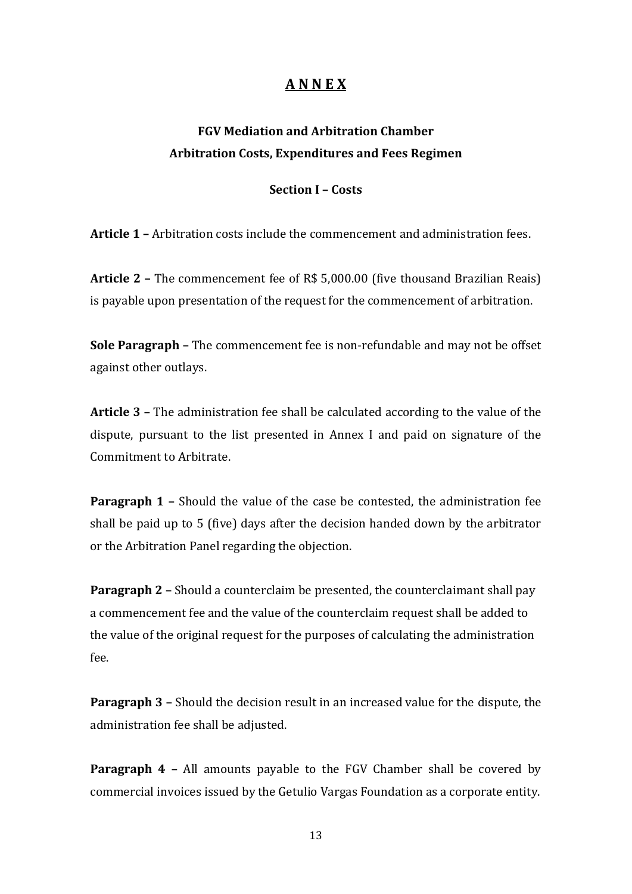# **A N N E X**

# **FGV Mediation and Arbitration Chamber Arbitration Costs, Expenditures and Fees Regimen**

#### **Section I – Costs**

**Article 1 –** Arbitration costs include the commencement and administration fees.

**Article 2 –** The commencement fee of R\$ 5,000.00 (five thousand Brazilian Reais) is payable upon presentation of the request for the commencement of arbitration.

**Sole Paragraph –** The commencement fee is non-refundable and may not be offset against other outlays.

**Article 3 –** The administration fee shall be calculated according to the value of the dispute, pursuant to the list presented in Annex I and paid on signature of the Commitment to Arbitrate.

**Paragraph 1 -** Should the value of the case be contested, the administration fee shall be paid up to 5 (five) days after the decision handed down by the arbitrator or the Arbitration Panel regarding the objection.

**Paragraph 2 –** Should a counterclaim be presented, the counterclaimant shall pay a commencement fee and the value of the counterclaim request shall be added to the value of the original request for the purposes of calculating the administration fee.

**Paragraph 3 –** Should the decision result in an increased value for the dispute, the administration fee shall be adjusted.

**Paragraph 4 –** All amounts payable to the FGV Chamber shall be covered by commercial invoices issued by the Getulio Vargas Foundation as a corporate entity.

13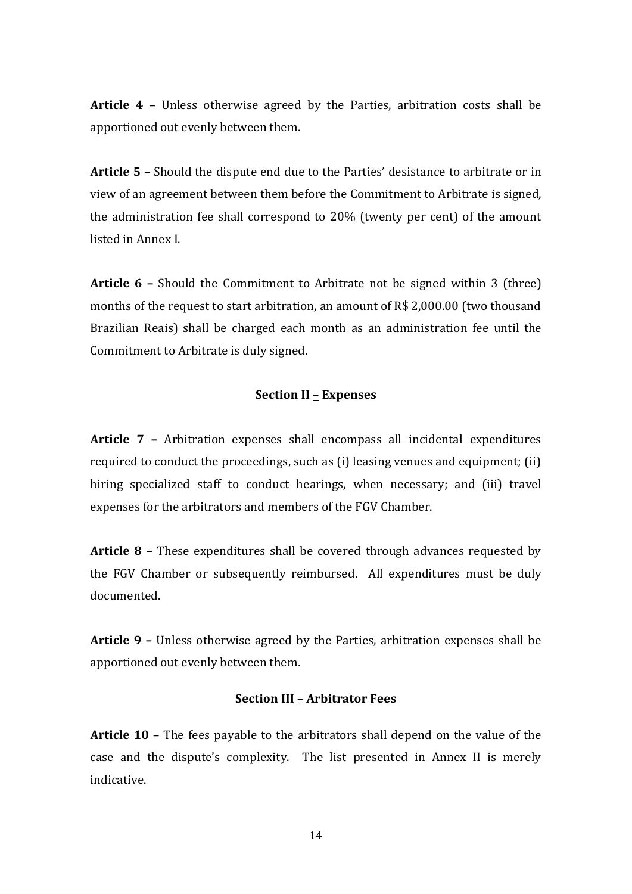**Article 4 –** Unless otherwise agreed by the Parties, arbitration costs shall be apportioned out evenly between them.

**Article 5 –** Should the dispute end due to the Parties' desistance to arbitrate or in view of an agreement between them before the Commitment to Arbitrate is signed, the administration fee shall correspond to 20% (twenty per cent) of the amount listed in Annex I.

**Article 6 –** Should the Commitment to Arbitrate not be signed within 3 (three) months of the request to start arbitration, an amount of R\$ 2,000.00 (two thousand Brazilian Reais) shall be charged each month as an administration fee until the Commitment to Arbitrate is duly signed.

#### **Section II – Expenses**

**Article 7 –** Arbitration expenses shall encompass all incidental expenditures required to conduct the proceedings, such as (i) leasing venues and equipment; (ii) hiring specialized staff to conduct hearings, when necessary; and (iii) travel expenses for the arbitrators and members of the FGV Chamber.

**Article 8 –** These expenditures shall be covered through advances requested by the FGV Chamber or subsequently reimbursed. All expenditures must be duly documented.

**Article 9 –** Unless otherwise agreed by the Parties, arbitration expenses shall be apportioned out evenly between them.

#### **Section III – Arbitrator Fees**

**Article 10 –** The fees payable to the arbitrators shall depend on the value of the case and the dispute's complexity. The list presented in Annex II is merely indicative.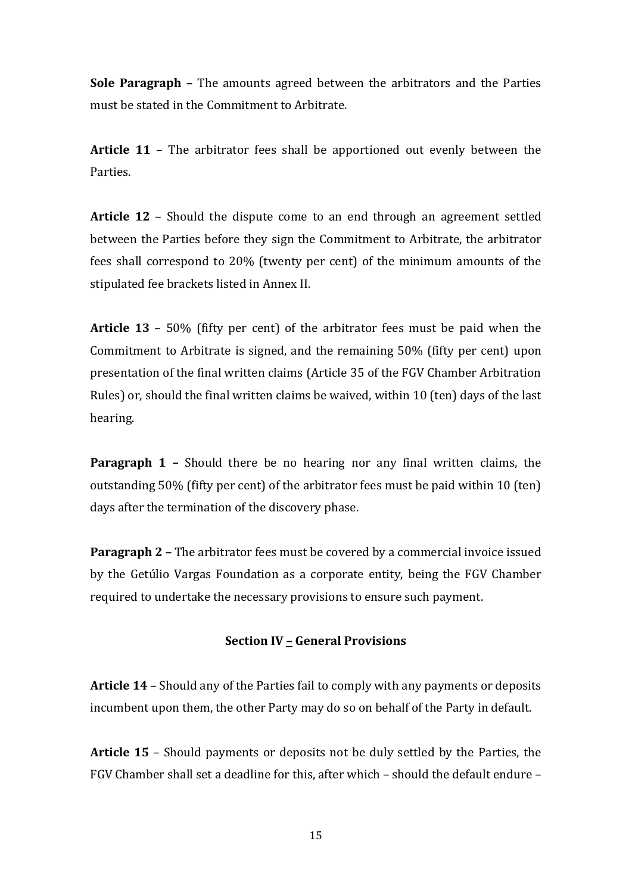**Sole Paragraph –** The amounts agreed between the arbitrators and the Parties must be stated in the Commitment to Arbitrate.

**Article 11** – The arbitrator fees shall be apportioned out evenly between the Parties.

**Article 12** – Should the dispute come to an end through an agreement settled between the Parties before they sign the Commitment to Arbitrate, the arbitrator fees shall correspond to 20% (twenty per cent) of the minimum amounts of the stipulated fee brackets listed in Annex II.

**Article 13** – 50% (fifty per cent) of the arbitrator fees must be paid when the Commitment to Arbitrate is signed, and the remaining 50% (fifty per cent) upon presentation of the final written claims (Article 35 of the FGV Chamber Arbitration Rules) or, should the final written claims be waived, within 10 (ten) days of the last hearing.

**Paragraph 1 -** Should there be no hearing nor any final written claims, the outstanding 50% (fifty per cent) of the arbitrator fees must be paid within 10 (ten) days after the termination of the discovery phase.

**Paragraph 2 –** The arbitrator fees must be covered by a commercial invoice issued by the Getúlio Vargas Foundation as a corporate entity, being the FGV Chamber required to undertake the necessary provisions to ensure such payment.

#### **Section IV – General Provisions**

**Article 14** – Should any of the Parties fail to comply with any payments or deposits incumbent upon them, the other Party may do so on behalf of the Party in default.

**Article 15** – Should payments or deposits not be duly settled by the Parties, the FGV Chamber shall set a deadline for this, after which – should the default endure –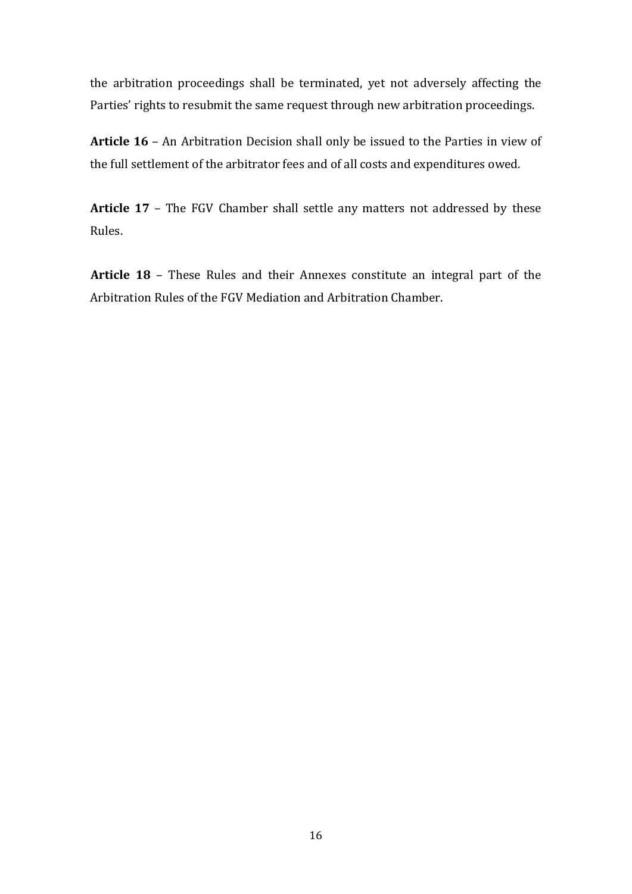the arbitration proceedings shall be terminated, yet not adversely affecting the Parties' rights to resubmit the same request through new arbitration proceedings.

**Article 16** – An Arbitration Decision shall only be issued to the Parties in view of the full settlement of the arbitrator fees and of all costs and expenditures owed.

**Article 17** – The FGV Chamber shall settle any matters not addressed by these Rules.

**Article 18** – These Rules and their Annexes constitute an integral part of the Arbitration Rules of the FGV Mediation and Arbitration Chamber.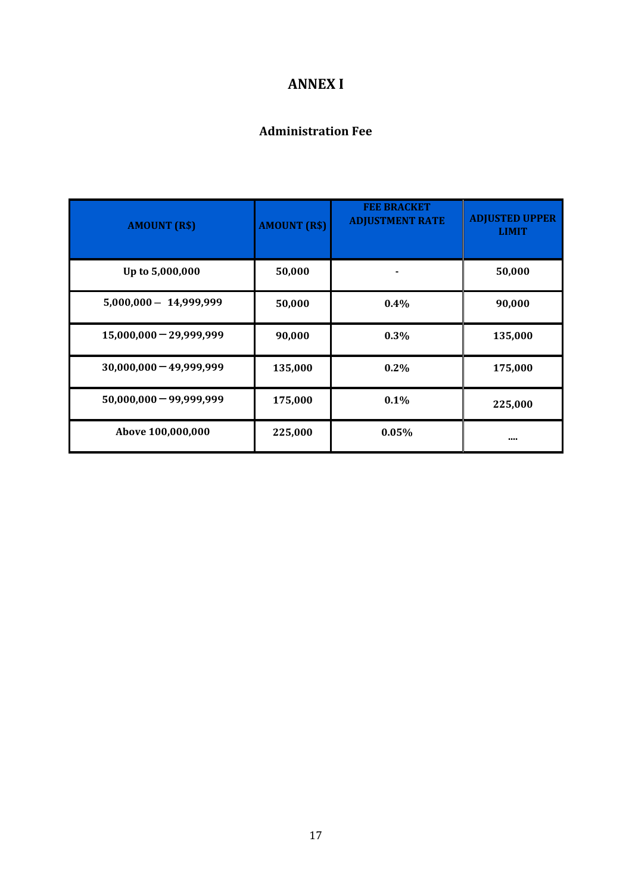# **ANNEX I**

# **Administration Fee**

| <b>AMOUNT (R\$)</b>       | <b>AMOUNT (R\$)</b> | <b>FEE BRACKET</b><br><b>ADJUSTMENT RATE</b> | <b>ADJUSTED UPPER</b><br><b>LIMIT</b> |
|---------------------------|---------------------|----------------------------------------------|---------------------------------------|
| Up to 5,000,000           | 50,000              |                                              | 50,000                                |
| $5,000,000 - 14,999,999$  | 50,000              | 0.4%                                         | 90,000                                |
| $15,000,000 - 29,999,999$ | 90,000              | $0.3\%$                                      | 135,000                               |
| $30,000,000 - 49,999,999$ | 135,000             | $0.2\%$                                      | 175,000                               |
| $50,000,000 - 99,999,999$ | 175,000             | 0.1%                                         | 225,000                               |
| Above 100,000,000         | 225,000             | 0.05%                                        |                                       |